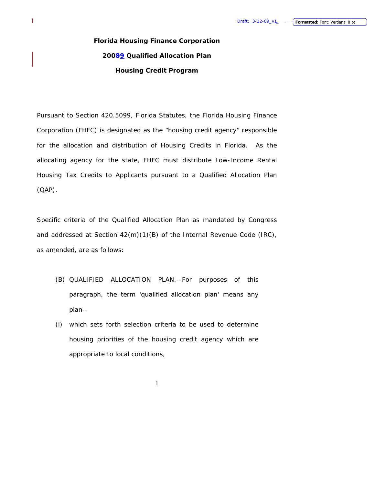# **Florida Housing Finance Corporation 20089 Qualified Allocation Plan Housing Credit Program**

1

Pursuant to Section 420.5099, Florida Statutes, the Florida Housing Finance Corporation (FHFC) is designated as the "housing credit agency" responsible for the allocation and distribution of Housing Credits in Florida. As the allocating agency for the state, FHFC must distribute Low-Income Rental Housing Tax Credits to Applicants pursuant to a Qualified Allocation Plan (QAP).

Specific criteria of the Qualified Allocation Plan as mandated by Congress and addressed at Section 42(m)(1)(B) of the Internal Revenue Code (IRC), as amended, are as follows:

- (B) QUALIFIED ALLOCATION PLAN.--For purposes of this paragraph, the term 'qualified allocation plan' means any plan--
- (i) which sets forth selection criteria to be used to determine housing priorities of the housing credit agency which are appropriate to local conditions,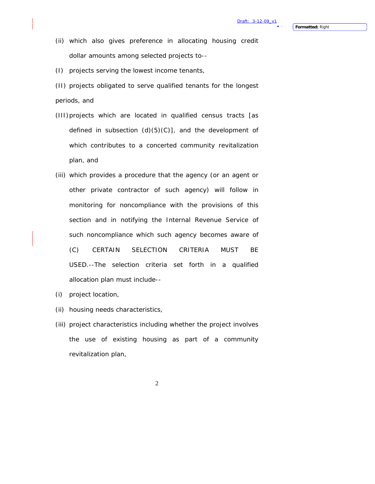- (ii) which also gives preference in allocating housing credit dollar amounts among selected projects to--
- (I) projects serving the lowest income tenants,
- (II) projects obligated to serve qualified tenants for the longest periods, and
- (III) projects which are located in qualified census tracts [as defined in subsection  $(d)(5)(C)$ ], and the development of which contributes to a concerted community revitalization plan, and
- (iii) which provides a procedure that the agency (or an agent or other private contractor of such agency) will follow in monitoring for noncompliance with the provisions of this section and in notifying the Internal Revenue Service of such noncompliance which such agency becomes aware of (C) CERTAIN SELECTION CRITERIA MUST BE USED.--The selection criteria set forth in a qualified allocation plan must include--
- (i) project location,
- (ii) housing needs characteristics,
- (iii) project characteristics including whether the project involves the use of existing housing as part of a community revitalization plan,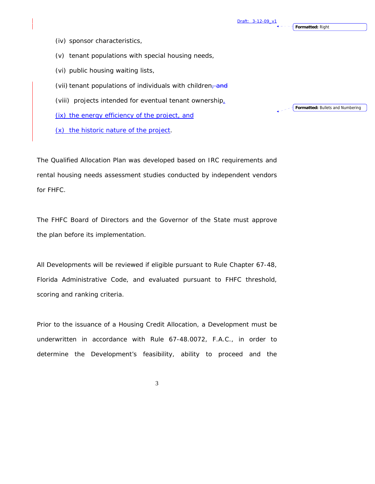**Formatted:** Right

(iv) sponsor characteristics,

(v) tenant populations with special housing needs,

(vi) public housing waiting lists,

(vii) tenant populations of individuals with children, and

(viii) projects intended for eventual tenant ownership

(ix) the energy efficiency of the project, and

(x) the historic nature of the project.

The Qualified Allocation Plan was developed based on IRC requirements and rental housing needs assessment studies conducted by independent vendors for FHFC.

The FHFC Board of Directors and the Governor of the State must approve the plan before its implementation.

All Developments will be reviewed if eligible pursuant to Rule Chapter 67-48, Florida Administrative Code, and evaluated pursuant to FHFC threshold, scoring and ranking criteria.

Prior to the issuance of a Housing Credit Allocation, a Development must be underwritten in accordance with Rule 67-48.0072, F.A.C., in order to determine the Development's feasibility, ability to proceed and the

3

**Formatted:** Bullets and Numbering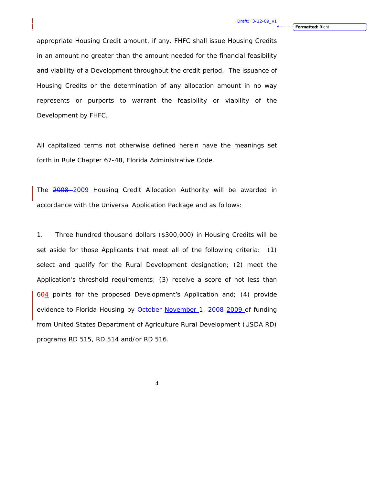appropriate Housing Credit amount, if any. FHFC shall issue Housing Credits in an amount no greater than the amount needed for the financial feasibility and viability of a Development throughout the credit period. The issuance of Housing Credits or the determination of any allocation amount in no way represents or purports to warrant the feasibility or viability of the Development by FHFC.

All capitalized terms not otherwise defined herein have the meanings set forth in Rule Chapter 67-48, Florida Administrative Code.

The 2008-2009 Housing Credit Allocation Authority will be awarded in accordance with the Universal Application Package and as follows:

1. Three hundred thousand dollars (\$300,000) in Housing Credits will be set aside for those Applicants that meet all of the following criteria: (1) select and qualify for the Rural Development designation; (2) meet the Application's threshold requirements; (3) receive a score of not less than  $604$  points for the proposed Development's Application and; (4) provide evidence to Florida Housing by October November 1, 2008-2009 of funding from United States Department of Agriculture Rural Development (USDA RD) programs RD 515, RD 514 and/or RD 516.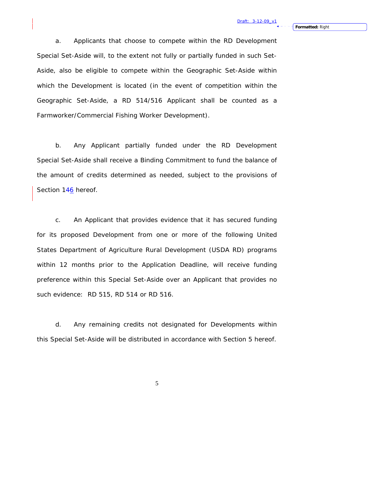a. Applicants that choose to compete within the RD Development Special Set-Aside will, to the extent not fully or partially funded in such Set-Aside, also be eligible to compete within the Geographic Set-Aside within which the Development is located (in the event of competition within the Geographic Set-Aside, a RD 514/516 Applicant shall be counted as a Farmworker/Commercial Fishing Worker Development).

b. Any Applicant partially funded under the RD Development Special Set-Aside shall receive a Binding Commitment to fund the balance of the amount of credits determined as needed, subject to the provisions of Section 146 hereof.

c. An Applicant that provides evidence that it has secured funding for its proposed Development from one or more of the following United States Department of Agriculture Rural Development (USDA RD) programs within 12 months prior to the Application Deadline, will receive funding preference within this Special Set-Aside over an Applicant that provides no such evidence: RD 515, RD 514 or RD 516.

d. Any remaining credits not designated for Developments within this Special Set-Aside will be distributed in accordance with Section 5 hereof.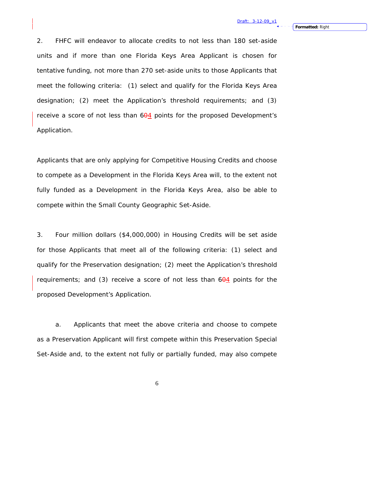2. FHFC will endeavor to allocate credits to not less than 180 set-aside units and if more than one Florida Keys Area Applicant is chosen for tentative funding, not more than 270 set-aside units to those Applicants that meet the following criteria: (1) select and qualify for the Florida Keys Area designation; (2) meet the Application's threshold requirements; and (3) receive a score of not less than 604 points for the proposed Development's Application.

Applicants that are only applying for Competitive Housing Credits and choose to compete as a Development in the Florida Keys Area will, to the extent not fully funded as a Development in the Florida Keys Area, also be able to compete within the Small County Geographic Set-Aside.

3. Four million dollars (\$4,000,000) in Housing Credits will be set aside for those Applicants that meet all of the following criteria: (1) select and qualify for the Preservation designation; (2) meet the Application's threshold requirements; and  $(3)$  receive a score of not less than  $604$  points for the proposed Development's Application.

a. Applicants that meet the above criteria and choose to compete as a Preservation Applicant will first compete within this Preservation Special Set-Aside and, to the extent not fully or partially funded, may also compete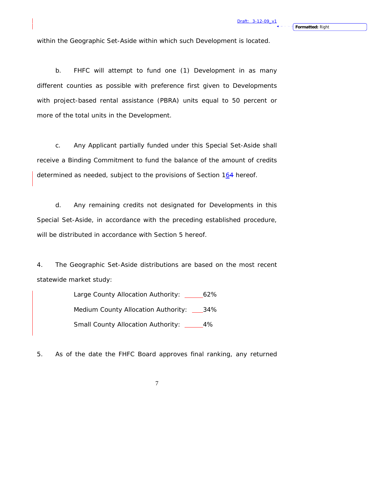within the Geographic Set-Aside within which such Development is located.

b. FHFC will attempt to fund one (1) Development in as many different counties as possible with preference first given to Developments with project-based rental assistance (PBRA) units equal to 50 percent or more of the total units in the Development.

c. Any Applicant partially funded under this Special Set-Aside shall receive a Binding Commitment to fund the balance of the amount of credits determined as needed, subject to the provisions of Section 164 hereof.

d. Any remaining credits not designated for Developments in this Special Set-Aside, in accordance with the preceding established procedure, will be distributed in accordance with Section 5 hereof.

4. The Geographic Set-Aside distributions are based on the most recent statewide market study:

> Large County Allocation Authority: \_\_\_\_\_\_62% Medium County Allocation Authority: 34% Small County Allocation Authority: \_\_\_\_\_4%

5. As of the date the FHFC Board approves final ranking, any returned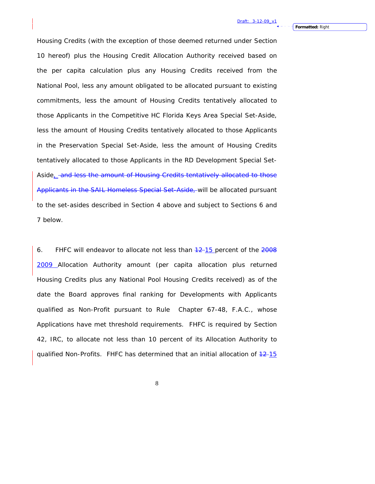Housing Credits (with the exception of those deemed returned under Section 10 hereof) plus the Housing Credit Allocation Authority received based on the per capita calculation plus any Housing Credits received from the National Pool, less any amount obligated to be allocated pursuant to existing commitments, less the amount of Housing Credits tentatively allocated to those Applicants in the Competitive HC Florida Keys Area Special Set-Aside, less the amount of Housing Credits tentatively allocated to those Applicants in the Preservation Special Set-Aside, less the amount of Housing Credits tentatively allocated to those Applicants in the RD Development Special Set-Aside, and less the amount of Housing Credits tentatively allocated to those Applicants in the SAIL Homeless Special Set-Aside, will be allocated pursuant to the set-asides described in Section 4 above and subject to Sections 6 and 7 below.

6. FHFC will endeavor to allocate not less than  $12-15$  percent of the  $2008$ 2009 Allocation Authority amount (per capita allocation plus returned Housing Credits plus any National Pool Housing Credits received) as of the date the Board approves final ranking for Developments with Applicants qualified as Non-Profit pursuant to Rule Chapter 67-48, F.A.C., whose Applications have met threshold requirements. FHFC is required by Section 42, IRC, to allocate not less than 10 percent of its Allocation Authority to qualified Non-Profits. FHFC has determined that an initial allocation of  $\frac{42.15}{ }$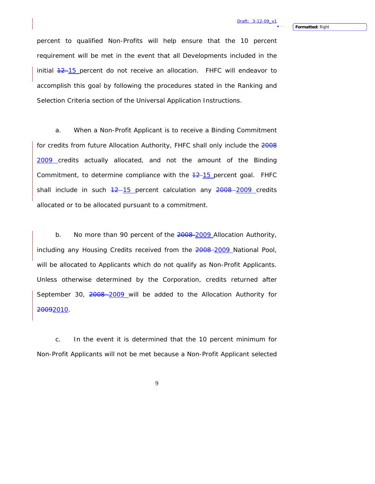percent to qualified Non-Profits will help ensure that the 10 percent requirement will be met in the event that all Developments included in the initial  $12$ -15 percent do not receive an allocation. FHFC will endeavor to accomplish this goal by following the procedures stated in the Ranking and Selection Criteria section of the Universal Application Instructions.

a. When a Non-Profit Applicant is to receive a Binding Commitment for credits from future Allocation Authority, FHFC shall only include the 2008 2009 credits actually allocated, and not the amount of the Binding Commitment, to determine compliance with the  $+2$ -15 percent goal. FHFC shall include in such  $12-15$  percent calculation any  $2008 - 2009$  credits allocated or to be allocated pursuant to a commitment.

b. No more than 90 percent of the 2008-2009 Allocation Authority, including any Housing Credits received from the 2008-2009 National Pool, will be allocated to Applicants which do not qualify as Non-Profit Applicants. Unless otherwise determined by the Corporation, credits returned after September 30, 2008 2009 will be added to the Allocation Authority for 20092010.

c. In the event it is determined that the 10 percent minimum for Non-Profit Applicants will not be met because a Non-Profit Applicant selected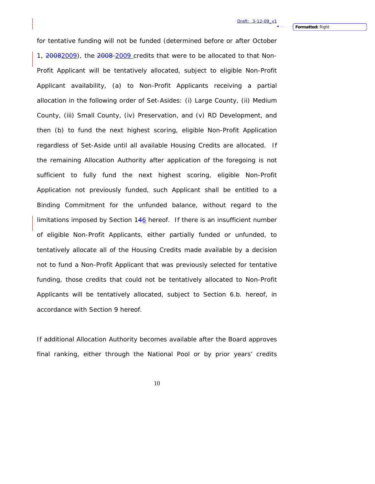for tentative funding will not be funded (determined before or after October 1, 20082009), the 2008-2009 credits that were to be allocated to that Non-Profit Applicant will be tentatively allocated, subject to eligible Non-Profit Applicant availability, (a) to Non-Profit Applicants receiving a partial allocation in the following order of Set-Asides: (i) Large County, (ii) Medium County, (iii) Small County, (iv) Preservation, and (v) RD Development, and then (b) to fund the next highest scoring, eligible Non-Profit Application regardless of Set-Aside until all available Housing Credits are allocated. If the remaining Allocation Authority after application of the foregoing is not sufficient to fully fund the next highest scoring, eligible Non-Profit Application not previously funded, such Applicant shall be entitled to a Binding Commitment for the unfunded balance, without regard to the limitations imposed by Section 146 hereof. If there is an insufficient number of eligible Non-Profit Applicants, either partially funded or unfunded, to tentatively allocate all of the Housing Credits made available by a decision not to fund a Non-Profit Applicant that was previously selected for tentative funding, those credits that could not be tentatively allocated to Non-Profit Applicants will be tentatively allocated, subject to Section 6.b. hereof, in accordance with Section 9 hereof.

If additional Allocation Authority becomes available after the Board approves final ranking, either through the National Pool or by prior years' credits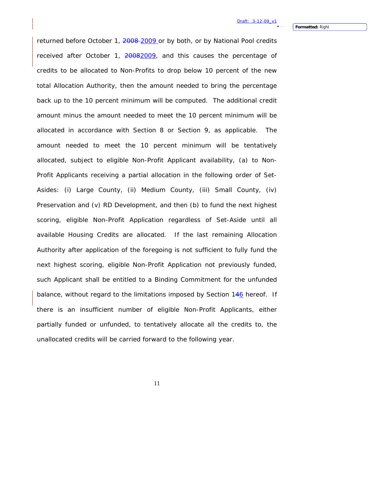returned before October 1, 2008-2009 or by both, or by National Pool credits received after October 1, 20082009, and this causes the percentage of credits to be allocated to Non-Profits to drop below 10 percent of the new total Allocation Authority, then the amount needed to bring the percentage back up to the 10 percent minimum will be computed. The additional credit amount minus the amount needed to meet the 10 percent minimum will be allocated in accordance with Section 8 or Section 9, as applicable. The amount needed to meet the 10 percent minimum will be tentatively allocated, subject to eligible Non-Profit Applicant availability, (a) to Non-Profit Applicants receiving a partial allocation in the following order of Set-Asides: (i) Large County, (ii) Medium County, (iii) Small County, (iv) Preservation and (v) RD Development, and then (b) to fund the next highest scoring, eligible Non-Profit Application regardless of Set-Aside until all available Housing Credits are allocated. If the last remaining Allocation Authority after application of the foregoing is not sufficient to fully fund the next highest scoring, eligible Non-Profit Application not previously funded, such Applicant shall be entitled to a Binding Commitment for the unfunded balance, without regard to the limitations imposed by Section  $146$  hereof. If there is an insufficient number of eligible Non-Profit Applicants, either partially funded or unfunded, to tentatively allocate all the credits to, the unallocated credits will be carried forward to the following year.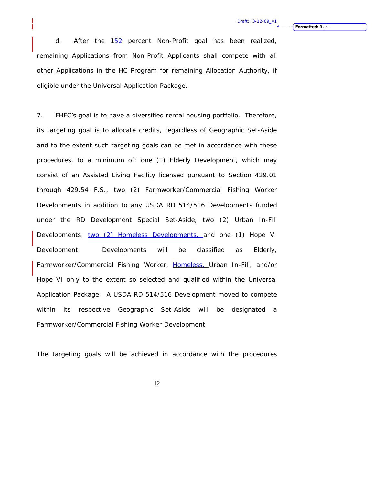d. After the  $15\frac{1}{2}$  percent Non-Profit goal has been realized, remaining Applications from Non-Profit Applicants shall compete with all other Applications in the HC Program for remaining Allocation Authority, if eligible under the Universal Application Package.

7. FHFC's goal is to have a diversified rental housing portfolio. Therefore, its targeting goal is to allocate credits, regardless of Geographic Set-Aside and to the extent such targeting goals can be met in accordance with these procedures, to a minimum of: one (1) Elderly Development, which may consist of an Assisted Living Facility licensed pursuant to Section 429.01 through 429.54 F.S., two (2) Farmworker/Commercial Fishing Worker Developments in addition to any USDA RD 514/516 Developments funded under the RD Development Special Set-Aside, two (2) Urban In-Fill Developments, two (2) Homeless Developments, and one (1) Hope VI Development. Developments will be classified as Elderly, Farmworker/Commercial Fishing Worker, Homeless, Urban In-Fill, and/or Hope VI only to the extent so selected and qualified within the Universal Application Package. A USDA RD 514/516 Development moved to compete within its respective Geographic Set-Aside will be designated a Farmworker/Commercial Fishing Worker Development.

The targeting goals will be achieved in accordance with the procedures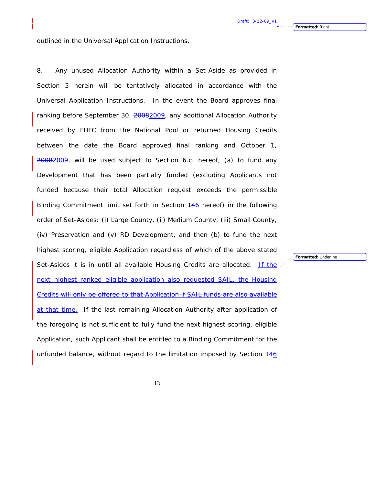outlined in the Universal Application Instructions.

8. Any unused Allocation Authority within a Set-Aside as provided in Section 5 herein will be tentatively allocated in accordance with the Universal Application Instructions. In the event the Board approves final ranking before September 30, 20082009, any additional Allocation Authority received by FHFC from the National Pool or returned Housing Credits between the date the Board approved final ranking and October 1,  $20082009$ , will be used subject to Section 6.c. hereof, (a) to fund any Development that has been partially funded (excluding Applicants not funded because their total Allocation request exceeds the permissible Binding Commitment limit set forth in Section 146 hereof) in the following order of Set-Asides: (i) Large County, (ii) Medium County, (iii) Small County, (iv) Preservation and (v) RD Development, and then (b) to fund the next highest scoring, eligible Application regardless of which of the above stated Set-Asides it is in until all available Housing Credits are allocated. **If the** next highest ranked eligible application also requested Credits will only be offered to that Application if SAIL funds are also available at that time. If the last remaining Allocation Authority after application of the foregoing is not sufficient to fully fund the next highest scoring, eligible Application, such Applicant shall be entitled to a Binding Commitment for the unfunded balance, without regard to the limitation imposed by Section 146

**Formatted:** Underline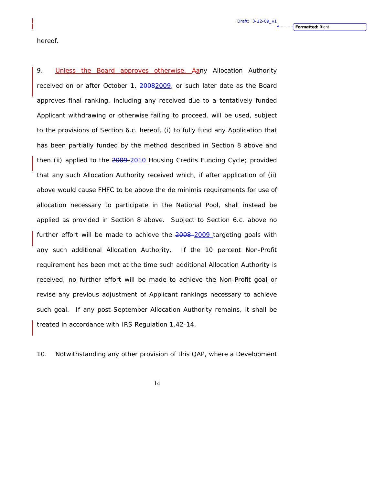hereof.

9. Unless the Board approves otherwise, Aany Allocation Authority received on or after October 1, 20082009, or such later date as the Board approves final ranking, including any received due to a tentatively funded Applicant withdrawing or otherwise failing to proceed, will be used, subject to the provisions of Section 6.c. hereof, (i) to fully fund any Application that has been partially funded by the method described in Section 8 above and then (ii) applied to the 2009-2010 Housing Credits Funding Cycle; provided that any such Allocation Authority received which, if after application of (ii) above would cause FHFC to be above the de minimis requirements for use of allocation necessary to participate in the National Pool, shall instead be applied as provided in Section 8 above. Subject to Section 6.c. above no further effort will be made to achieve the 2008-2009 targeting goals with any such additional Allocation Authority. If the 10 percent Non-Profit requirement has been met at the time such additional Allocation Authority is received, no further effort will be made to achieve the Non-Profit goal or revise any previous adjustment of Applicant rankings necessary to achieve such goal. If any post-September Allocation Authority remains, it shall be treated in accordance with IRS Regulation 1.42-14.

10. Notwithstanding any other provision of this QAP, where a Development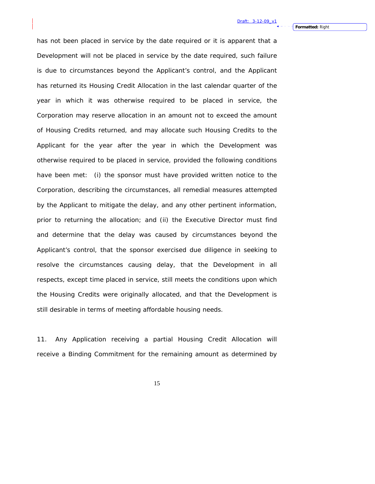has not been placed in service by the date required or it is apparent that a Development will not be placed in service by the date required, such failure is due to circumstances beyond the Applicant's control, and the Applicant has returned its Housing Credit Allocation in the last calendar quarter of the year in which it was otherwise required to be placed in service, the Corporation may reserve allocation in an amount not to exceed the amount of Housing Credits returned, and may allocate such Housing Credits to the Applicant for the year after the year in which the Development was otherwise required to be placed in service, provided the following conditions have been met: (i) the sponsor must have provided written notice to the Corporation, describing the circumstances, all remedial measures attempted by the Applicant to mitigate the delay, and any other pertinent information, prior to returning the allocation; and (ii) the Executive Director must find and determine that the delay was caused by circumstances beyond the Applicant's control, that the sponsor exercised due diligence in seeking to resolve the circumstances causing delay, that the Development in all respects, except time placed in service, still meets the conditions upon which the Housing Credits were originally allocated, and that the Development is still desirable in terms of meeting affordable housing needs.

11. Any Application receiving a partial Housing Credit Allocation will receive a Binding Commitment for the remaining amount as determined by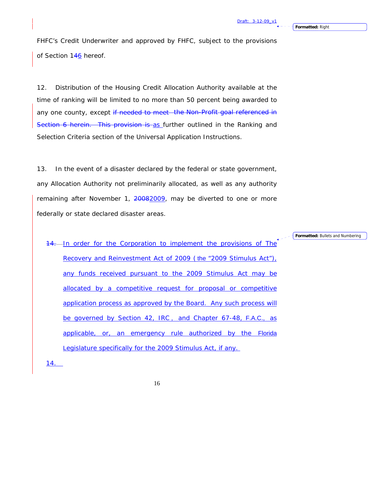**Formatted:** Right

FHFC's Credit Underwriter and approved by FHFC, subject to the provisions of Section 146 hereof.

12. Distribution of the Housing Credit Allocation Authority available at the time of ranking will be limited to no more than 50 percent being awarded to any one county, except if needed to meet the Non-Profit goal referenced in Section 6 herein. This provision is as further outlined in the Ranking and Selection Criteria section of the Universal Application Instructions.

13. In the event of a disaster declared by the federal or state government, any Allocation Authority not preliminarily allocated, as well as any authority remaining after November 1, 20082009, may be diverted to one or more federally or state declared disaster areas.

14. In order for the Corporation to implement the provisions of The Recovery and Reinvestment Act of 2009 (the "2009 Stimulus Act"), any funds received pursuant to the 2009 Stimulus Act may be allocated by a competitive request for proposal or competitive application process as approved by the Board. Any such process will be governed by Section 42, IRC, and Chapter 67-48, F.A.C., as applicable, or, an emergency rule authorized by the Florida Legislature specifically for the 2009 Stimulus Act, if any.

14.

16

**Formatted:** Bullets and Numbering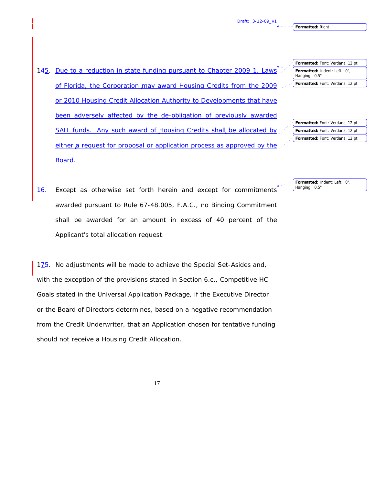Hanging: 0.5"

145. Due to a reduction in state funding pursuant to Chapter 2009-1, Laws of Florida, the Corporation may award Housing Credits from the 2009 or 2010 Housing Credit Allocation Authority to Developments that have been adversely affected by the de-obligation of previously awarded SAIL funds. Any such award of Housing Credits shall be allocated by either a request for proposal or application process as approved by the Board.

| لممر | Formatted: Font: Verdana, 12 pt |
|------|---------------------------------|
|      | Formatted: Font: Verdana, 12 pt |
|      | Formatted: Font: Verdana, 12 pt |

**Formatted:** Font: Verdana, 12 pt **Formatted:** Indent: Left: 0",

**Formatted:** Font: Verdana, 12 pt

16. Except as otherwise set forth herein and except for commitments **Formatted:** Indent: Left: 0", Hanging: 0.5"

awarded pursuant to Rule 67-48.005, F.A.C., no Binding Commitment shall be awarded for an amount in excess of 40 percent of the Applicant's total allocation request.

 $1\overline{75}$ . No adjustments will be made to achieve the Special Set-Asides and, with the exception of the provisions stated in Section 6.c., Competitive HC Goals stated in the Universal Application Package, if the Executive Director or the Board of Directors determines, based on a negative recommendation from the Credit Underwriter, that an Application chosen for tentative funding should not receive a Housing Credit Allocation.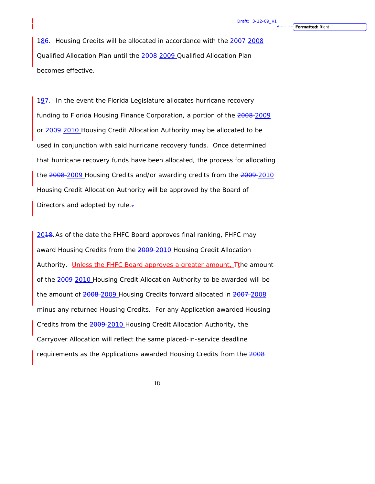186. Housing Credits will be allocated in accordance with the 2007-2008 Qualified Allocation Plan until the 2008 2009 Qualified Allocation Plan becomes effective.

 $197.$  In the event the Florida Legislature allocates hurricane recovery funding to Florida Housing Finance Corporation, a portion of the 2008-2009 or 2009-2010 Housing Credit Allocation Authority may be allocated to be used in conjunction with said hurricane recovery funds. Once determined that hurricane recovery funds have been allocated, the process for allocating the 2008-2009 Housing Credits and/or awarding credits from the 2009-2010 Housing Credit Allocation Authority will be approved by the Board of Directors and adopted by rule.-

2018. As of the date the FHFC Board approves final ranking, FHFC may award Housing Credits from the 2009-2010 Housing Credit Allocation Authority. Unless the FHFC Board approves a greater amount,  $F$ the amount of the 2009 2010 Housing Credit Allocation Authority to be awarded will be the amount of 2008-2009 Housing Credits forward allocated in 2007-2008 minus any returned Housing Credits. For any Application awarded Housing Credits from the 2009-2010 Housing Credit Allocation Authority, the Carryover Allocation will reflect the same placed-in-service deadline requirements as the Applications awarded Housing Credits from the 2008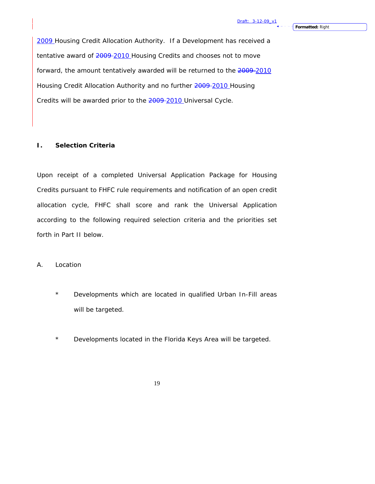2009 Housing Credit Allocation Authority. If a Development has received a tentative award of  $2009 - 2010$  Housing Credits and chooses not to move forward, the amount tentatively awarded will be returned to the 2009-2010 Housing Credit Allocation Authority and no further 2009-2010 Housing Credits will be awarded prior to the 2009-2010 Universal Cycle.

#### **I. Selection Criteria**

Upon receipt of a completed Universal Application Package for Housing Credits pursuant to FHFC rule requirements and notification of an open credit allocation cycle, FHFC shall score and rank the Universal Application according to the following required selection criteria and the priorities set forth in Part II below.

#### A. Location

- \* Developments which are located in qualified Urban In-Fill areas will be targeted.
- \* Developments located in the Florida Keys Area will be targeted.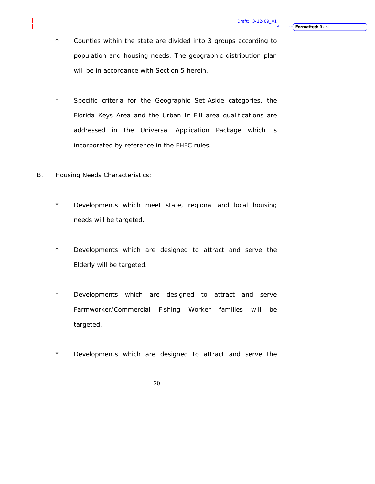- \* Counties within the state are divided into 3 groups according to population and housing needs. The geographic distribution plan will be in accordance with Section 5 herein.
- \* Specific criteria for the Geographic Set-Aside categories, the Florida Keys Area and the Urban In-Fill area qualifications are addressed in the Universal Application Package which is incorporated by reference in the FHFC rules.
- B. Housing Needs Characteristics:
	- \* Developments which meet state, regional and local housing needs will be targeted.
	- \* Developments which are designed to attract and serve the Elderly will be targeted.
	- \* Developments which are designed to attract and serve Farmworker/Commercial Fishing Worker families will be targeted.
	- \* Developments which are designed to attract and serve the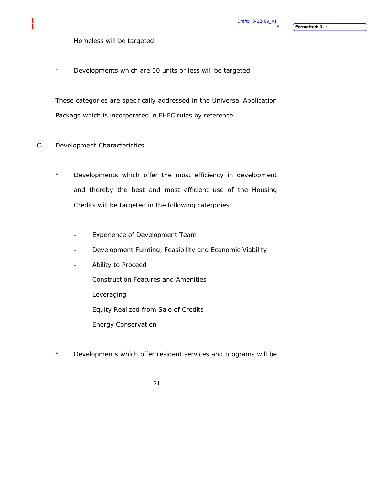Homeless will be targeted.

\* Developments which are 50 units or less will be targeted.

These categories are specifically addressed in the Universal Application Package which is incorporated in FHFC rules by reference.

- C. Development Characteristics:
	- \* Developments which offer the most efficiency in development and thereby the best and most efficient use of the Housing Credits will be targeted in the following categories:
		- Experience of Development Team
		- Development Funding, Feasibility and Economic Viability
		- Ability to Proceed
		- Construction Features and Amenities
		- Leveraging
		- Equity Realized from Sale of Credits
		- Energy Conservation
	- \* Developments which offer resident services and programs will be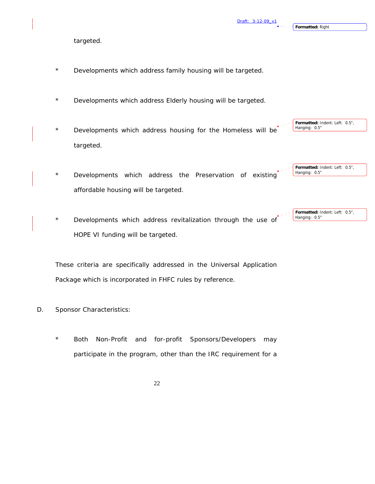**Formatted:** Right

**Formatted:** Indent: Left: 0.5",

**Formatted:** Indent: Left: 0.5",

Hanging: 0.5"

targeted.

- \* Developments which address family housing will be targeted.
- \* Developments which address Elderly housing will be targeted.
- \* Developments which address housing for the Homeless will be targeted. Hanging: 0.5"
- \* Developments which address the Preservation of existing affordable housing will be targeted. **Formatted:** Indent: Left: 0.5", Hanging: 0.5"
- Developments which address revitalization through the use of HOPE VI funding will be targeted.

These criteria are specifically addressed in the Universal Application Package which is incorporated in FHFC rules by reference.

- D. Sponsor Characteristics:
	- Both Non-Profit and for-profit Sponsors/Developers may participate in the program, other than the IRC requirement for a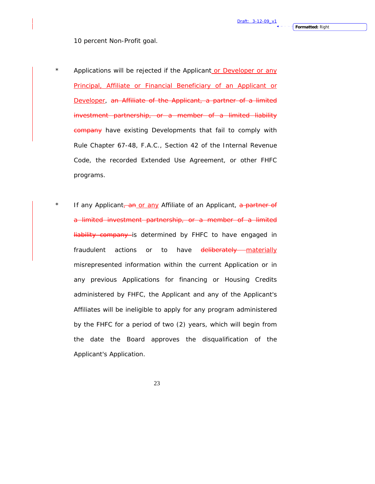10 percent Non-Profit goal.

- \* Applications will be rejected if the Applicant or Developer or any Principal, Affiliate or Financial Beneficiary of an Applicant or Developer, an Affiliate of the Applicant, a partner of a limited investment partnership, or a member of a limited liability company have existing Developments that fail to comply with Rule Chapter 67-48, F.A.C., Section 42 of the Internal Revenue Code, the recorded Extended Use Agreement, or other FHFC programs.
- \* If any Applicant, an or any Affiliate of an Applicant, a partner of a limited investment partnership, or a member of a limited liability company is determined by FHFC to have engaged in fraudulent actions or to have deliberately materially misrepresented information within the current Application or in any previous Applications for financing or Housing Credits administered by FHFC, the Applicant and any of the Applicant's Affiliates will be ineligible to apply for any program administered by the FHFC for a period of two (2) years, which will begin from the date the Board approves the disqualification of the Applicant's Application.
	- 23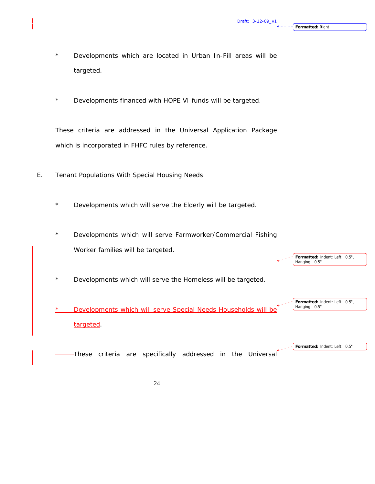**Formatted:** Indent: Left: 0.5",

**Formatted:** Indent: Left: 0.5",

**Formatted:** Indent: Left: 0.5"

Hanging: 0.5"

- Developments which are located in Urban In-Fill areas will be targeted.
- \* Developments financed with HOPE VI funds will be targeted.

These criteria are addressed in the Universal Application Package which is incorporated in FHFC rules by reference.

- E. Tenant Populations With Special Housing Needs:
	- \* Developments which will serve the Elderly will be targeted.
	- Developments which will serve Farmworker/Commercial Fishing Worker families will be targeted.
	- \* Developments which will serve the Homeless will be targeted.

Developments which will serve Special Needs Households will be targeted. Hanging: 0.5"

These criteria are specifically addressed in the Universal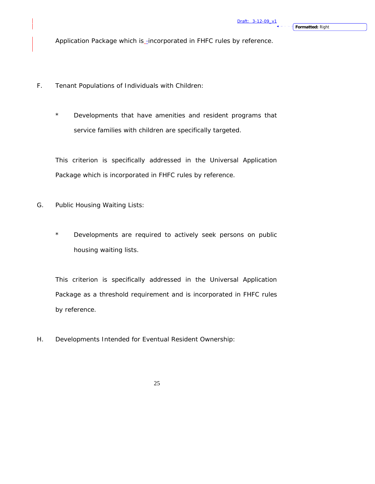Application Package which is\_incorporated in FHFC rules by reference.

- F. Tenant Populations of Individuals with Children:
	- \* Developments that have amenities and resident programs that service families with children are specifically targeted.

This criterion is specifically addressed in the Universal Application Package which is incorporated in FHFC rules by reference.

- G. Public Housing Waiting Lists:
	- \* Developments are required to actively seek persons on public housing waiting lists.

This criterion is specifically addressed in the Universal Application Package as a threshold requirement and is incorporated in FHFC rules by reference.

H. Developments Intended for Eventual Resident Ownership: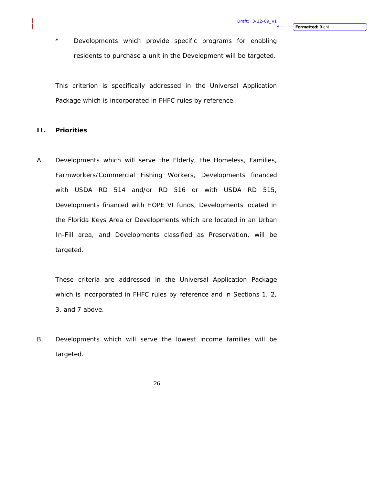\* Developments which provide specific programs for enabling residents to purchase a unit in the Development will be targeted.

This criterion is specifically addressed in the Universal Application Package which is incorporated in FHFC rules by reference.

#### **II. Priorities**

A. Developments which will serve the Elderly, the Homeless, Families, Farmworkers/Commercial Fishing Workers, Developments financed with USDA RD 514 and/or RD 516 or with USDA RD 515, Developments financed with HOPE VI funds, Developments located in the Florida Keys Area or Developments which are located in an Urban In-Fill area, and Developments classified as Preservation, will be targeted.

These criteria are addressed in the Universal Application Package which is incorporated in FHFC rules by reference and in Sections 1, 2, 3, and 7 above.

B. Developments which will serve the lowest income families will be targeted.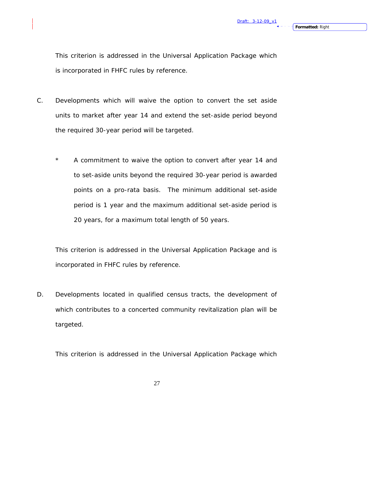This criterion is addressed in the Universal Application Package which is incorporated in FHFC rules by reference.

- C. Developments which will waive the option to convert the set aside units to market after year 14 and extend the set-aside period beyond the required 30-year period will be targeted.
	- \* A commitment to waive the option to convert after year 14 and to set-aside units beyond the required 30-year period is awarded points on a pro-rata basis. The minimum additional set-aside period is 1 year and the maximum additional set-aside period is 20 years, for a maximum total length of 50 years.

This criterion is addressed in the Universal Application Package and is incorporated in FHFC rules by reference.

D. Developments located in qualified census tracts, the development of which contributes to a concerted community revitalization plan will be targeted.

This criterion is addressed in the Universal Application Package which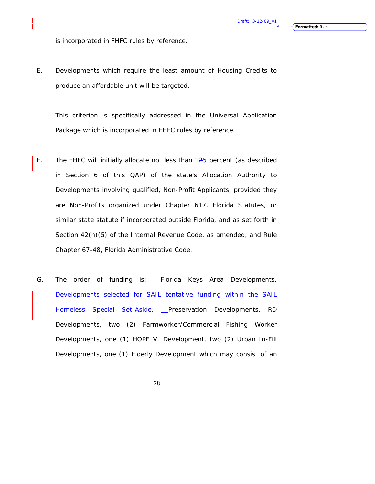is incorporated in FHFC rules by reference.

E. Developments which require the least amount of Housing Credits to produce an affordable unit will be targeted.

This criterion is specifically addressed in the Universal Application Package which is incorporated in FHFC rules by reference.

- F. The FHFC will initially allocate not less than  $125$  percent (as described in Section 6 of this QAP) of the state's Allocation Authority to Developments involving qualified, Non-Profit Applicants, provided they are Non-Profits organized under Chapter 617, Florida Statutes, or similar state statute if incorporated outside Florida, and as set forth in Section 42(h)(5) of the Internal Revenue Code, as amended, and Rule Chapter 67-48, Florida Administrative Code.
- G. The order of funding is: Florida Keys Area Developments, Developments selected for SAIL tentative funding within the SAIL Homeless Special Set-Aside, Preservation Developments, RD Developments, two (2) Farmworker/Commercial Fishing Worker Developments, one (1) HOPE VI Development, two (2) Urban In-Fill Developments, one (1) Elderly Development which may consist of an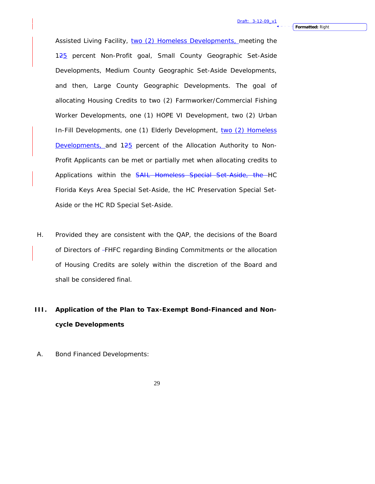Assisted Living Facility, two (2) Homeless Developments, meeting the 125 percent Non-Profit goal, Small County Geographic Set-Aside Developments, Medium County Geographic Set-Aside Developments, and then, Large County Geographic Developments. The goal of allocating Housing Credits to two (2) Farmworker/Commercial Fishing Worker Developments, one (1) HOPE VI Development, two (2) Urban In-Fill Developments, one (1) Elderly Development, two (2) Homeless Developments, and 125 percent of the Allocation Authority to Non-Profit Applicants can be met or partially met when allocating credits to Applications within the SAIL Homeless Special Set-Aside, the HC Florida Keys Area Special Set-Aside, the HC Preservation Special Set-Aside or the HC RD Special Set-Aside.

H. Provided they are consistent with the QAP, the decisions of the Board of Directors of FHFC regarding Binding Commitments or the allocation of Housing Credits are solely within the discretion of the Board and shall be considered final.

# **III. Application of the Plan to Tax-Exempt Bond-Financed and Noncycle Developments**

A. Bond Financed Developments: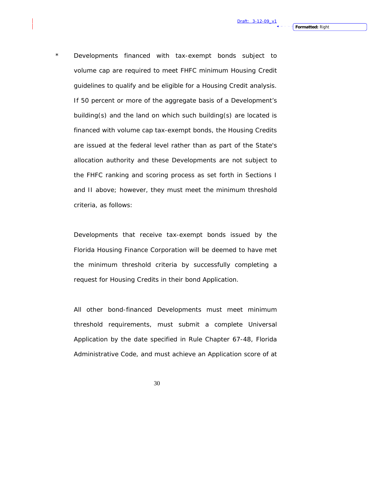Developments financed with tax-exempt bonds subject to volume cap are required to meet FHFC minimum Housing Credit guidelines to qualify and be eligible for a Housing Credit analysis. If 50 percent or more of the aggregate basis of a Development's building(s) and the land on which such building(s) are located is financed with volume cap tax-exempt bonds, the Housing Credits are issued at the federal level rather than as part of the State's allocation authority and these Developments are not subject to the FHFC ranking and scoring process as set forth in Sections I and II above; however, they must meet the minimum threshold

criteria, as follows:

Developments that receive tax-exempt bonds issued by the Florida Housing Finance Corporation will be deemed to have met the minimum threshold criteria by successfully completing a request for Housing Credits in their bond Application.

All other bond-financed Developments must meet minimum threshold requirements, must submit a complete Universal Application by the date specified in Rule Chapter 67-48, Florida Administrative Code, and must achieve an Application score of at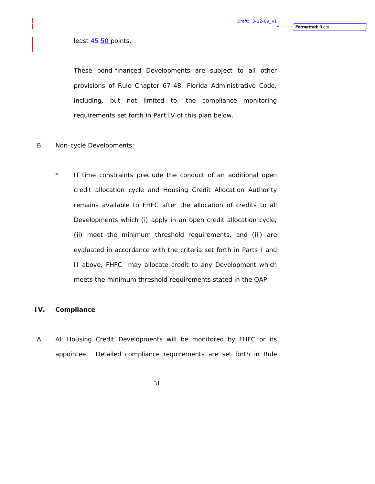## least 45-50 points.

These bond-financed Developments are subject to all other provisions of Rule Chapter 67-48, Florida Administrative Code, including, but not limited to, the compliance monitoring requirements set forth in Part IV of this plan below.

- B. Non-cycle Developments:
	- \* If time constraints preclude the conduct of an additional open credit allocation cycle and Housing Credit Allocation Authority remains available to FHFC after the allocation of credits to all Developments which (i) apply in an open credit allocation cycle, (ii) meet the minimum threshold requirements, and (iii) are evaluated in accordance with the criteria set forth in Parts I and II above, FHFC may allocate credit to any Development which meets the minimum threshold requirements stated in the QAP.

### **IV. Compliance**

A. All Housing Credit Developments will be monitored by FHFC or its appointee. Detailed compliance requirements are set forth in Rule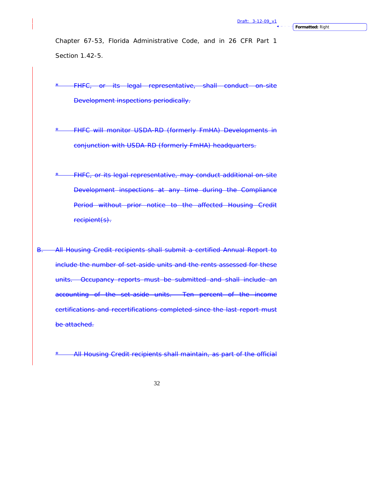Chapter 67-53, Florida Administrative Code, and in 26 CFR Part 1 Section 1.42-5.

FHFC, or its legal representative, shall conduct on-site Development inspections periodically.

**FHFC will monitor USDA-RD (formerly FmHA) Developments in** conjunction with USDA-RD (formerly FmHA) headquarters.

FHFC, or its legal representative, may conduct additional on-site Development inspections at any time during the Compliance Period without prior notice to the affected Housing Credit recipient(s).

B. All Housing Credit recipients shall submit a certified Annual Report to include the number of set-aside units and the rents assessed for these units. Occupancy reports must be submitted and shall include an accounting of the set-aside units. Ten percent of the income certifications and recertifications completed since the last report must be attached.

All Housing Credit recipients shall maintain, as part of the official